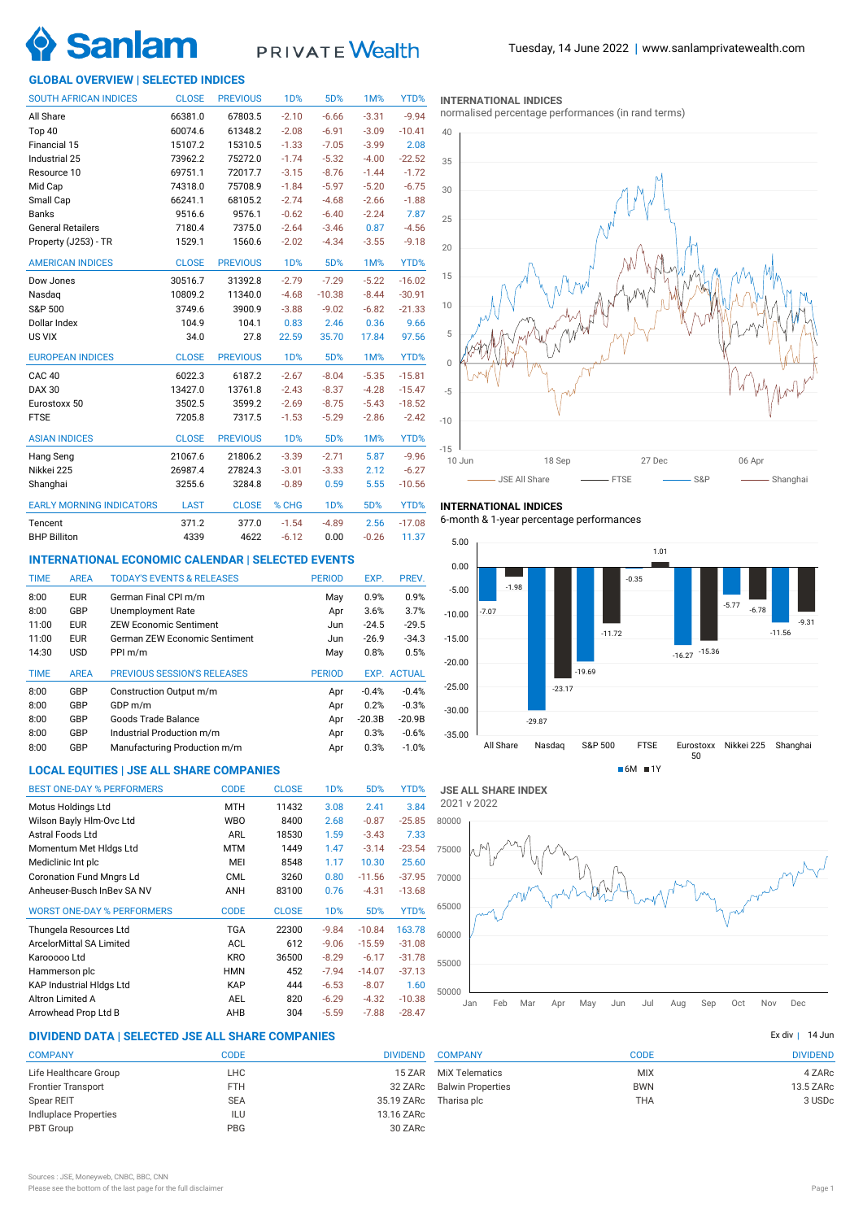

# PRIVATE Wealth

# **GLOBAL OVERVIEW | SELECTED INDICES**

| <b>SOUTH AFRICAN INDICES</b>    | <b>CLOSE</b> | <b>PREVIOUS</b> | 1 <sub>D</sub> % | 5D%        | <b>1M%</b> | YTD%     |
|---------------------------------|--------------|-----------------|------------------|------------|------------|----------|
| All Share                       | 66381.0      | 67803.5         | $-2.10$          | $-6.66$    | $-3.31$    | $-9.94$  |
| Top 40                          | 60074.6      | 61348.2         | $-2.08$          | $-6.91$    | $-3.09$    | $-10.41$ |
| Financial 15                    | 15107.2      | 15310.5         | $-1.33$          | $-7.05$    | $-3.99$    | 2.08     |
| Industrial 25                   | 73962.2      | 75272.0         | $-1.74$          | $-5.32$    | $-4.00$    | $-22.52$ |
| Resource 10                     | 69751.1      | 72017.7         | $-3.15$          | $-8.76$    | $-1.44$    | $-1.72$  |
| Mid Cap                         | 74318.0      | 75708.9         | $-1.84$          | $-5.97$    | $-5.20$    | $-6.75$  |
| Small Cap                       | 66241.1      | 68105.2         | $-2.74$          | $-4.68$    | $-2.66$    | $-1.88$  |
| <b>Banks</b>                    | 9516.6       | 9576.1          | $-0.62$          | $-6.40$    | $-2.24$    | 7.87     |
| <b>General Retailers</b>        | 7180.4       | 7375.0          | $-2.64$          | $-3.46$    | 0.87       | $-4.56$  |
| Property (J253) - TR            | 1529.1       | 1560.6          | $-2.02$          | $-4.34$    | $-3.55$    | $-9.18$  |
| <b>AMERICAN INDICES</b>         | <b>CLOSE</b> | <b>PREVIOUS</b> | 1 <sub>D</sub> % | 5D%        | 1M%        | YTD%     |
| Dow Jones                       | 30516.7      | 31392.8         | $-2.79$          | $-7.29$    | $-5.22$    | $-16.02$ |
| Nasdag                          | 10809.2      | 11340.0         | $-4.68$          | $-10.38$   | $-8.44$    | $-30.91$ |
| S&P 500                         | 3749.6       | 3900.9          | $-3.88$          | $-9.02$    | $-6.82$    | $-21.33$ |
| Dollar Index                    | 104.9        | 104.1           | 0.83             | 2.46       | 0.36       | 9.66     |
| US VIX                          | 34.0         | 27.8            | 22.59            | 35.70      | 17.84      | 97.56    |
| <b>EUROPEAN INDICES</b>         | <b>CLOSE</b> | <b>PREVIOUS</b> | <b>1D%</b>       | 5D%        | 1M%        | YTD%     |
| CAC <sub>40</sub>               | 6022.3       | 6187.2          | $-2.67$          | $-8.04$    | $-5.35$    | $-15.81$ |
| <b>DAX 30</b>                   | 13427.0      | 13761.8         | $-2.43$          | $-8.37$    | $-4.28$    | $-15.47$ |
| Eurostoxx 50                    | 3502.5       | 3599.2          | $-2.69$          | $-8.75$    | $-5.43$    | $-18.52$ |
| <b>FTSE</b>                     | 7205.8       | 7317.5          | $-1.53$          | $-5.29$    | $-2.86$    | $-2.42$  |
| <b>ASIAN INDICES</b>            | <b>CLOSE</b> | <b>PREVIOUS</b> | <b>1D%</b>       | 5D%        | 1M%        | YTD%     |
| Hang Seng                       | 21067.6      | 21806.2         | $-3.39$          | $-2.71$    | 5.87       | $-9.96$  |
| Nikkei 225                      | 26987.4      | 27824.3         | $-3.01$          | $-3.33$    | 2.12       | $-6.27$  |
| Shanghai                        | 3255.6       | 3284.8          | $-0.89$          | 0.59       | 5.55       | $-10.56$ |
| <b>EARLY MORNING INDICATORS</b> | <b>LAST</b>  | <b>CLOSE</b>    | % CHG            | <b>1D%</b> | 5D%        | YTD%     |
| Tencent                         | 371.2        | 377.0           | $-1.54$          | $-4.89$    | 2.56       | $-17.08$ |
| <b>BHP Billiton</b>             | 4339         | 4622            | $-6.12$          | 0.00       | $-0.26$    | 11.37    |

# **INTERNATIONAL ECONOMIC CALENDAR | SELECTED EVENTS**

| <b>TIME</b> | <b>AREA</b> | <b>TODAY'S EVENTS &amp; RELEASES</b> | <b>PERIOD</b> | EXP.     | PREV.              |
|-------------|-------------|--------------------------------------|---------------|----------|--------------------|
| 8:00        | <b>EUR</b>  | German Final CPI m/m                 | May           | 0.9%     | 0.9%               |
| 8:00        | GBP         | Unemployment Rate                    | Apr           | 3.6%     | 3.7%               |
| 11:00       | <b>EUR</b>  | <b>ZEW Economic Sentiment</b>        | Jun           | $-24.5$  | $-29.5$            |
| 11:00       | <b>EUR</b>  | German ZEW Economic Sentiment        | Jun           | $-26.9$  | $-34.3$            |
| 14:30       | <b>USD</b>  | PPI m/m                              | May           | 0.8%     | 0.5%               |
|             |             |                                      |               |          |                    |
| <b>TIME</b> | <b>AREA</b> | <b>PREVIOUS SESSION'S RELEASES</b>   | <b>PERIOD</b> |          | <b>EXP. ACTUAL</b> |
| 8:00        | GBP         | Construction Output m/m              | Apr           | $-0.4%$  | $-0.4%$            |
| 8:00        | GBP         | GDP m/m                              | Apr           | 0.2%     | $-0.3%$            |
| 8:00        | GBP         | Goods Trade Balance                  | Apr           | $-20.3B$ | $-20.9B$           |
| 8:00        | GBP         | Industrial Production m/m            | Apr           | 0.3%     | $-0.6%$            |
| 8:00        | GBP         | Manufacturing Production m/m         | Apr           | 0.3%     | $-1.0%$            |

# **LOCAL EQUITIES | JSE ALL SHARE COMPANIES**

| <b>BEST ONE-DAY % PERFORMERS</b>  | <b>CODE</b> | <b>CLOSE</b> | 1 <sub>D</sub> % | 5D%      | YTD%     |
|-----------------------------------|-------------|--------------|------------------|----------|----------|
| Motus Holdings Ltd                | <b>MTH</b>  | 11432        | 3.08             | 2.41     | 3.84     |
| Wilson Bayly Hlm-Ovc Ltd          | <b>WBO</b>  | 8400         | 2.68             | $-0.87$  | $-25.85$ |
| Astral Foods Ltd                  | ARL         | 18530        | 1.59             | $-3.43$  | 7.33     |
| Momentum Met Hidgs Ltd            | <b>MTM</b>  | 1449         | 1.47             | $-3.14$  | $-23.54$ |
| Mediclinic Int plc                | MEI         | 8548         | 1.17             | 10.30    | 25.60    |
| <b>Coronation Fund Mngrs Ld</b>   | <b>CML</b>  | 3260         | 0.80             | $-11.56$ | $-37.95$ |
| Anheuser-Busch InBey SA NV        | ANH         | 83100        | 0.76             | $-4.31$  | $-13.68$ |
| <b>WORST ONE-DAY % PERFORMERS</b> | <b>CODE</b> | <b>CLOSE</b> | 1 <sub>D</sub> % | 5D%      | YTD%     |
| Thungela Resources Ltd            | TGA         | 22300        | $-9.84$          | $-10.84$ | 163.78   |
| ArcelorMittal SA Limited          | <b>ACL</b>  | 612          | $-9.06$          | $-15.59$ | $-31.08$ |
| Karooooo Ltd                      | <b>KRO</b>  | 36500        | $-8.29$          | $-6.17$  | $-31.78$ |
| Hammerson plc                     | <b>HMN</b>  | 452          | $-7.94$          | $-14.07$ | $-37.13$ |
| <b>KAP Industrial Hidgs Ltd</b>   | <b>KAP</b>  | 444          | $-6.53$          | $-8.07$  | 1.60     |
| Altron Limited A                  | <b>AEL</b>  | 820          | $-6.29$          | $-4.32$  | $-10.38$ |
| Arrowhead Prop Ltd B              | AHB         | 304          | $-5.59$          | $-7.88$  | $-28.47$ |

# **DIVIDEND DATA | SELECTED JSE ALL SHARE COMPANIES |**

| <b>COMPANY</b>            | <b>CODE</b> | <b>DIVIDEND</b> |
|---------------------------|-------------|-----------------|
| Life Healthcare Group     | LHC         | 15 ZAR          |
| <b>Frontier Transport</b> | <b>FTH</b>  | 32 ZARc         |
| Spear REIT                | <b>SEA</b>  | 35.19 ZARc      |
| Indluplace Properties     | ILU         | 13.16 ZARc      |
| PBT Group                 | <b>PBG</b>  | 30 ZARc         |
|                           |             |                 |

### **INTERNATIONAL INDICES**

normalised percentage performances (in rand terms)



# **INTERNATIONAL INDICES**

6-month & 1-year percentage performances



**JSE ALL SHARE INDEX** 2021 v 2022



|                          |             | 14 Jun<br>Ex div I |
|--------------------------|-------------|--------------------|
| <b>COMPANY</b>           | <b>CODE</b> | <b>DIVIDEND</b>    |
| <b>MiX Telematics</b>    | <b>MIX</b>  | 4 ZARc             |
| <b>Balwin Properties</b> | <b>BWN</b>  | 13.5 ZARc          |
| Tharisa plc              | <b>THA</b>  | 3 USDc             |
|                          |             |                    |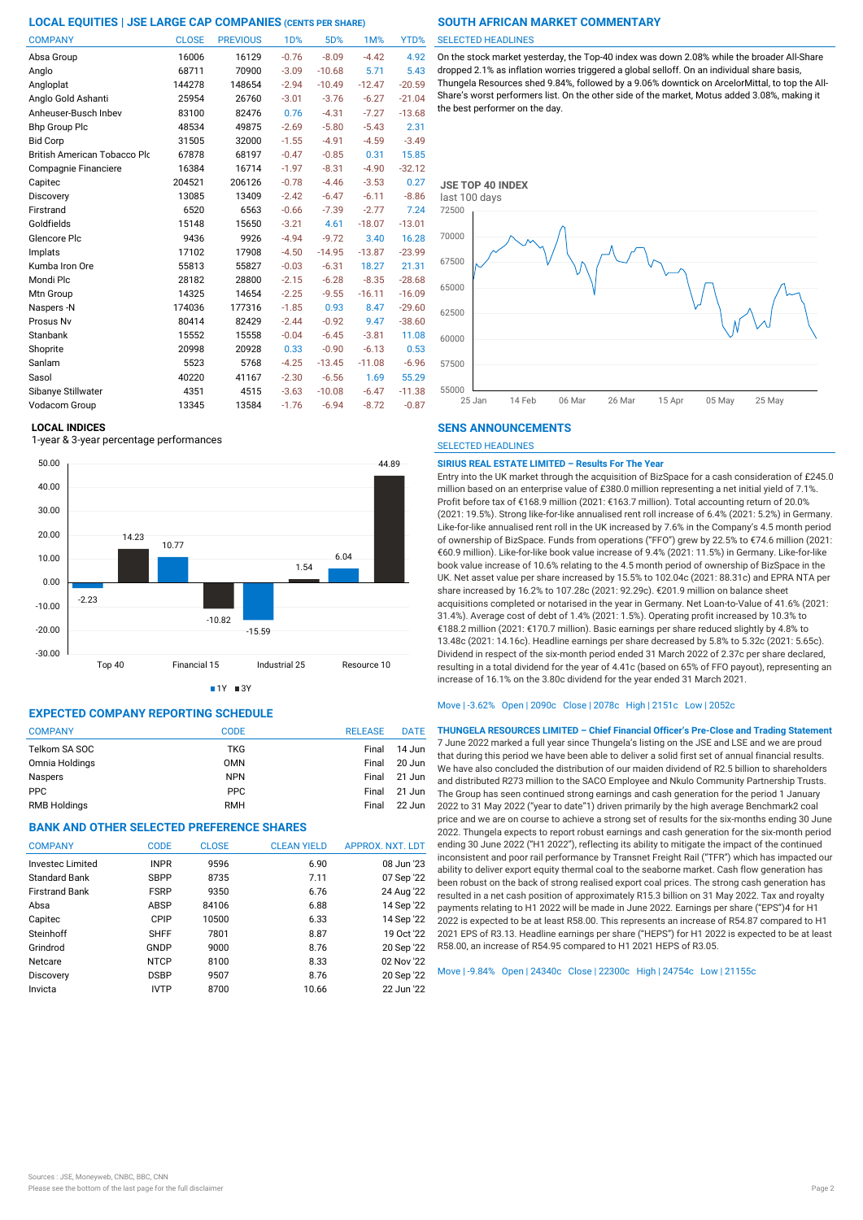| <b>COMPANY</b>               | <b>CLOSE</b> | <b>PREVIOUS</b> | <b>1D%</b> | 5D%      | 1M%      | YTD%     |
|------------------------------|--------------|-----------------|------------|----------|----------|----------|
| Absa Group                   | 16006        | 16129           | $-0.76$    | $-8.09$  | $-4.42$  | 4.92     |
| Anglo                        | 68711        | 70900           | $-3.09$    | $-10.68$ | 5.71     | 5.43     |
| Angloplat                    | 144278       | 148654          | $-2.94$    | $-10.49$ | $-12.47$ | $-20.59$ |
| Anglo Gold Ashanti           | 25954        | 26760           | $-3.01$    | $-3.76$  | $-6.27$  | $-21.04$ |
| Anheuser-Busch Inbev         | 83100        | 82476           | 0.76       | $-4.31$  | $-7.27$  | $-13.68$ |
| <b>Bhp Group Plc</b>         | 48534        | 49875           | $-2.69$    | $-5.80$  | $-5.43$  | 2.31     |
| <b>Bid Corp</b>              | 31505        | 32000           | $-1.55$    | $-4.91$  | $-4.59$  | $-3.49$  |
| British American Tobacco Plo | 67878        | 68197           | $-0.47$    | $-0.85$  | 0.31     | 15.85    |
| Compagnie Financiere         | 16384        | 16714           | $-1.97$    | $-8.31$  | $-4.90$  | $-32.12$ |
| Capitec                      | 204521       | 206126          | $-0.78$    | $-4.46$  | $-3.53$  | 0.27     |
| Discovery                    | 13085        | 13409           | $-2.42$    | $-6.47$  | $-6.11$  | $-8.86$  |
| Firstrand                    | 6520         | 6563            | $-0.66$    | $-7.39$  | $-2.77$  | 7.24     |
| Goldfields                   | 15148        | 15650           | $-3.21$    | 4.61     | $-18.07$ | $-13.01$ |
| Glencore Plc                 | 9436         | 9926            | $-4.94$    | $-9.72$  | 3.40     | 16.28    |
| Implats                      | 17102        | 17908           | $-4.50$    | $-14.95$ | $-13.87$ | $-23.99$ |
| Kumba Iron Ore               | 55813        | 55827           | $-0.03$    | $-6.31$  | 18.27    | 21.31    |
| Mondi Plc                    | 28182        | 28800           | $-2.15$    | $-6.28$  | $-8.35$  | $-28.68$ |
| Mtn Group                    | 14325        | 14654           | $-2.25$    | $-9.55$  | $-16.11$ | $-16.09$ |
| Naspers -N                   | 174036       | 177316          | $-1.85$    | 0.93     | 8.47     | $-29.60$ |
| Prosus Nv                    | 80414        | 82429           | $-2.44$    | $-0.92$  | 9.47     | $-38.60$ |
| Stanbank                     | 15552        | 15558           | $-0.04$    | $-6.45$  | $-3.81$  | 11.08    |
| Shoprite                     | 20998        | 20928           | 0.33       | $-0.90$  | $-6.13$  | 0.53     |
| Sanlam                       | 5523         | 5768            | $-4.25$    | $-13.45$ | $-11.08$ | $-6.96$  |
| Sasol                        | 40220        | 41167           | $-2.30$    | $-6.56$  | 1.69     | 55.29    |
| Sibanye Stillwater           | 4351         | 4515            | $-3.63$    | $-10.08$ | $-6.47$  | $-11.38$ |
| Vodacom Group                | 13345        | 13584           | $-1.76$    | $-6.94$  | $-8.72$  | $-0.87$  |

### **LOCAL INDICES**

1-year & 3-year percentage performances



 $1Y = 3Y$ 

# **EXPECTED COMPANY REPORTING SCHEDULE**

| <b>COMPANY</b> | <b>CODE</b> | <b>RELEASE</b> | <b>DATE</b> |
|----------------|-------------|----------------|-------------|
| Telkom SA SOC  | <b>TKG</b>  | Final          | 14 Jun      |
| Omnia Holdings | <b>OMN</b>  | Final          | 20 Jun      |
| <b>Naspers</b> | <b>NPN</b>  | Final          | 21 Jun      |
| <b>PPC</b>     | <b>PPC</b>  | Final          | 21 Jun      |
| RMB Holdings   | <b>RMH</b>  | Final          | 22 Jun      |

# **BANK AND OTHER SELECTED PREFERENCE SHARES**

| <b>COMPANY</b>          | <b>CODE</b> | <b>CLOSE</b> | <b>CLEAN YIELD</b> | <b>APPROX, NXT, LDT</b> |
|-------------------------|-------------|--------------|--------------------|-------------------------|
| <b>Invested Limited</b> | <b>INPR</b> | 9596         | 6.90               | 08 Jun '23              |
| <b>Standard Bank</b>    | <b>SBPP</b> | 8735         | 7.11               | 07 Sep '22              |
| <b>Firstrand Bank</b>   | <b>FSRP</b> | 9350         | 6.76               | 24 Aug '22              |
| Absa                    | ABSP        | 84106        | 6.88               | 14 Sep '22              |
| Capitec                 | CPIP        | 10500        | 6.33               | 14 Sep '22              |
| Steinhoff               | <b>SHFF</b> | 7801         | 8.87               | 19 Oct '22              |
| Grindrod                | GNDP        | 9000         | 8.76               | 20 Sep '22              |
| Netcare                 | <b>NTCP</b> | 8100         | 8.33               | 02 Nov '22              |
| Discovery               | <b>DSBP</b> | 9507         | 8.76               | 20 Sep '22              |
| Invicta                 | <b>IVTP</b> | 8700         | 10.66              | 22 Jun '22              |
|                         |             |              |                    |                         |

### SELECTED HEADLINES

On the stock market yesterday, the Top-40 index was down 2.08% while the broader All-Share dropped 2.1% as inflation worries triggered a global selloff. On an individual share basis, Thungela Resources shed 9.84%, followed by a 9.06% downtick on ArcelorMittal, to top the All-Share's worst performers list. On the other side of the market, Motus added 3.08%, making it the best performer on the day.



### **SENS ANNOUNCEMENTS**

SELECTED HEADLINES

### **SIRIUS REAL ESTATE LIMITED – Results For The Year**

Entry into the UK market through the acquisition of BizSpace for a cash consideration of £245.0 million based on an enterprise value of £380.0 million representing a net initial yield of 7.1%. Profit before tax of €168.9 million (2021: €163.7 million). Total accounting return of 20.0% (2021: 19.5%). Strong like-for-like annualised rent roll increase of 6.4% (2021: 5.2%) in Germany. Like-for-like annualised rent roll in the UK increased by 7.6% in the Company's 4.5 month period of ownership of BizSpace. Funds from operations ("FFO") grew by 22.5% to €74.6 million (2021: €60.9 million). Like-for-like book value increase of 9.4% (2021: 11.5%) in Germany. Like-for-like book value increase of 10.6% relating to the 4.5 month period of ownership of BizSpace in the UK. Net asset value per share increased by 15.5% to 102.04c (2021: 88.31c) and EPRA NTA per share increased by 16.2% to 107.28c (2021: 92.29c). €201.9 million on balance sheet acquisitions completed or notarised in the year in Germany. Net Loan-to-Value of 41.6% (2021: 31.4%). Average cost of debt of 1.4% (2021: 1.5%). Operating profit increased by 10.3% to €188.2 million (2021: €170.7 million). Basic earnings per share reduced slightly by 4.8% to 13.48c (2021: 14.16c). Headline earnings per share decreased by 5.8% to 5.32c (2021: 5.65c). Dividend in respect of the six-month period ended 31 March 2022 of 2.37c per share declared, resulting in a total dividend for the year of 4.41c (based on 65% of FFO payout), representing an increase of 16.1% on the 3.80c dividend for the year ended 31 March 2021.

# Move | -3.62% Open | 2090c Close | 2078c High | 2151c Low | 2052c

**THUNGELA RESOURCES LIMITED – Chief Financial Officer's Pre-Close and Trading Statement** 7 June 2022 marked a full year since Thungela's listing on the JSE and LSE and we are proud that during this period we have been able to deliver a solid first set of annual financial results. We have also concluded the distribution of our maiden dividend of R2.5 billion to shareholders and distributed R273 million to the SACO Employee and Nkulo Community Partnership Trusts. The Group has seen continued strong earnings and cash generation for the period 1 January 2022 to 31 May 2022 ("year to date"1) driven primarily by the high average Benchmark2 coal price and we are on course to achieve a strong set of results for the six-months ending 30 June 2022. Thungela expects to report robust earnings and cash generation for the six-month period ending 30 June 2022 ("H1 2022"), reflecting its ability to mitigate the impact of the continued inconsistent and poor rail performance by Transnet Freight Rail ("TFR") which has impacted our ability to deliver export equity thermal coal to the seaborne market. Cash flow generation has been robust on the back of strong realised export coal prices. The strong cash generation has resulted in a net cash position of approximately R15.3 billion on 31 May 2022. Tax and royalty payments relating to H1 2022 will be made in June 2022. Earnings per share ("EPS")4 for H1 2022 is expected to be at least R58.00. This represents an increase of R54.87 compared to H1 2021 EPS of R3.13. Headline earnings per share ("HEPS") for H1 2022 is expected to be at least R58.00, an increase of R54.95 compared to H1 2021 HEPS of R3.05.

Move | -9.84% Open | 24340c Close | 22300c High | 24754c Low | 21155c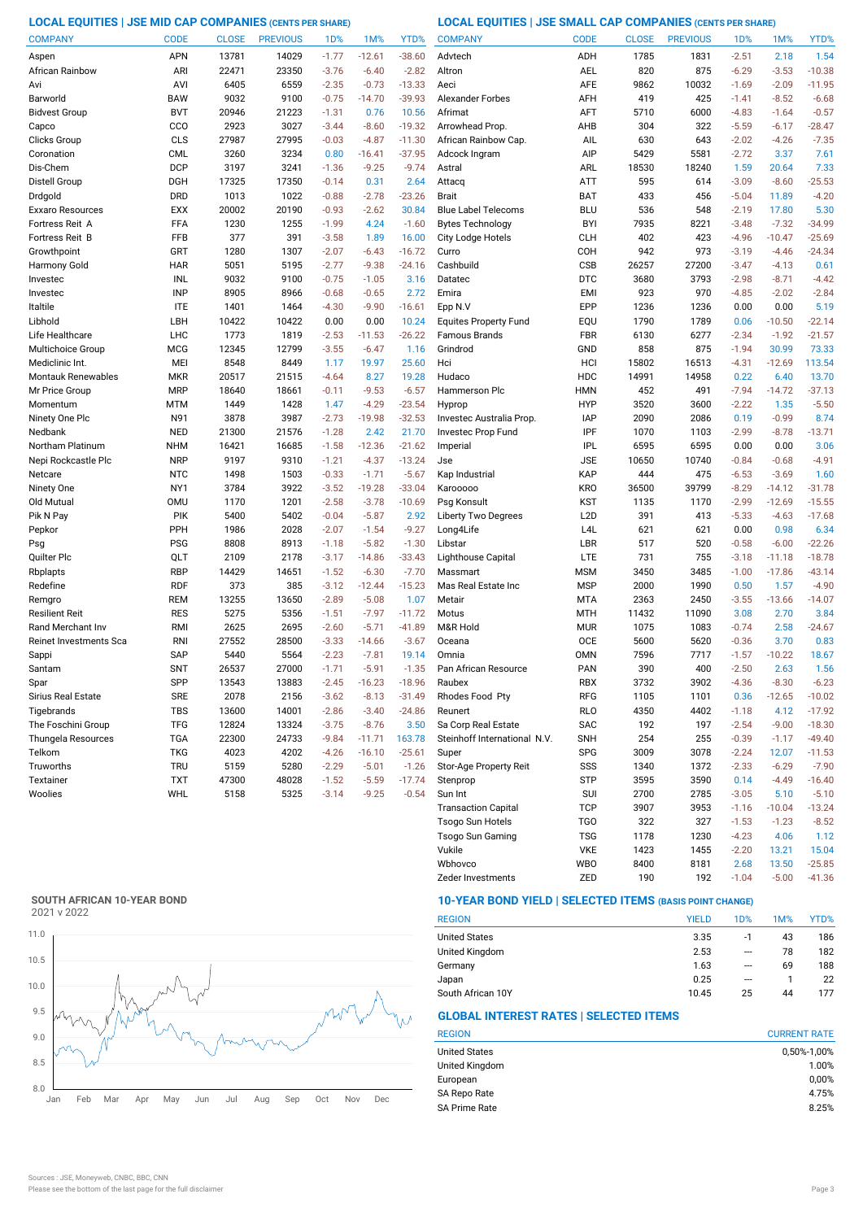**LOCAL EQUITIES | JSE MID CAP COMPANIES (CENTS PER SHARE) LOCAL EQUITIES | JSE SMALL CAP COMPANIES (CENTS PER SHARE)**

| <b>COMPANY</b>         | <b>CODE</b> | <b>CLOSE</b> | <b>PREVIOUS</b> | 1D%     | 1M%      | YTD%     | <b>COMPANY</b>               | <b>CODE</b>      | <b>CLOSE</b> | <b>PREVIOUS</b> | 1 <sub>D</sub> % | 1M%      | YTD%     |
|------------------------|-------------|--------------|-----------------|---------|----------|----------|------------------------------|------------------|--------------|-----------------|------------------|----------|----------|
| Aspen                  | APN         | 13781        | 14029           | $-1.77$ | $-12.61$ | $-38.60$ | Advtech                      | ADH              | 1785         | 1831            | $-2.51$          | 2.18     | 1.54     |
| African Rainbow        | ARI         | 22471        | 23350           | $-3.76$ | $-6.40$  | $-2.82$  | Altron                       | AEL              | 820          | 875             | $-6.29$          | $-3.53$  | $-10.38$ |
| Avi                    | AVI         | 6405         | 6559            | $-2.35$ | $-0.73$  | $-13.33$ | Aeci                         | AFE              | 9862         | 10032           | $-1.69$          | $-2.09$  | $-11.95$ |
| Barworld               | <b>BAW</b>  | 9032         | 9100            | $-0.75$ | $-14.70$ | $-39.93$ | <b>Alexander Forbes</b>      | AFH              | 419          | 425             | $-1.41$          | $-8.52$  | $-6.68$  |
| <b>Bidvest Group</b>   | <b>BVT</b>  | 20946        | 21223           | $-1.31$ | 0.76     | 10.56    | Afrimat                      | AFT              | 5710         | 6000            | $-4.83$          | $-1.64$  | $-0.57$  |
| Capco                  | CCO         | 2923         | 3027            | $-3.44$ | $-8.60$  | $-19.32$ | Arrowhead Prop.              | AHB              | 304          | 322             | $-5.59$          | $-6.17$  | $-28.47$ |
| Clicks Group           | <b>CLS</b>  | 27987        | 27995           | $-0.03$ | $-4.87$  | $-11.30$ | African Rainbow Cap.         | AIL              | 630          | 643             | $-2.02$          | $-4.26$  | $-7.35$  |
| Coronation             | <b>CML</b>  | 3260         | 3234            | 0.80    | $-16.41$ | $-37.95$ | Adcock Ingram                | AIP              | 5429         | 5581            | $-2.72$          | 3.37     | 7.61     |
| Dis-Chem               | <b>DCP</b>  | 3197         | 3241            | $-1.36$ | $-9.25$  | $-9.74$  | Astral                       | ARL              | 18530        | 18240           | 1.59             | 20.64    | 7.33     |
| Distell Group          | <b>DGH</b>  | 17325        | 17350           | $-0.14$ | 0.31     | 2.64     | Attacq                       | <b>ATT</b>       | 595          | 614             | $-3.09$          | $-8.60$  | $-25.53$ |
| Drdgold                | <b>DRD</b>  | 1013         | 1022            | $-0.88$ | $-2.78$  | $-23.26$ | <b>Brait</b>                 | BAT              | 433          | 456             | $-5.04$          | 11.89    | $-4.20$  |
| Exxaro Resources       | <b>EXX</b>  | 20002        | 20190           | $-0.93$ | $-2.62$  | 30.84    | <b>Blue Label Telecoms</b>   | <b>BLU</b>       | 536          | 548             | $-2.19$          | 17.80    | 5.30     |
| Fortress Reit A        | FFA         | 1230         | 1255            | $-1.99$ | 4.24     | $-1.60$  | <b>Bytes Technology</b>      | <b>BYI</b>       | 7935         | 8221            | $-3.48$          | $-7.32$  | $-34.99$ |
| Fortress Reit B        | FFB         | 377          | 391             | $-3.58$ | 1.89     | 16.00    | City Lodge Hotels            | <b>CLH</b>       | 402          | 423             | $-4.96$          | $-10.47$ | $-25.69$ |
| Growthpoint            | GRT         | 1280         | 1307            | $-2.07$ | $-6.43$  | $-16.72$ | Curro                        | COH              | 942          | 973             | $-3.19$          | $-4.46$  | $-24.34$ |
| Harmony Gold           | HAR         | 5051         | 5195            | $-2.77$ | $-9.38$  | $-24.16$ | Cashbuild                    | CSB              | 26257        | 27200           | $-3.47$          | $-4.13$  | 0.61     |
| Investec               | INL         | 9032         | 9100            | $-0.75$ | $-1.05$  | 3.16     | Datatec                      | <b>DTC</b>       | 3680         | 3793            | $-2.98$          | $-8.71$  | $-4.42$  |
| Investec               | <b>INP</b>  | 8905         | 8966            | $-0.68$ | $-0.65$  | 2.72     | Emira                        | <b>EMI</b>       | 923          | 970             | $-4.85$          | $-2.02$  | $-2.84$  |
| Italtile               | <b>ITE</b>  | 1401         | 1464            | $-4.30$ | $-9.90$  | $-16.61$ | Epp N.V                      | <b>EPP</b>       | 1236         | 1236            | 0.00             | 0.00     | 5.19     |
| Libhold                | LBH         | 10422        | 10422           | 0.00    | 0.00     | 10.24    | <b>Equites Property Fund</b> | EQU              | 1790         | 1789            | 0.06             | $-10.50$ | $-22.14$ |
| Life Healthcare        | LHC         | 1773         | 1819            | $-2.53$ | $-11.53$ | $-26.22$ | Famous Brands                | FBR              | 6130         | 6277            | $-2.34$          | $-1.92$  | $-21.57$ |
| Multichoice Group      | <b>MCG</b>  | 12345        | 12799           | $-3.55$ | $-6.47$  | 1.16     | Grindrod                     | GND              | 858          | 875             | $-1.94$          | 30.99    | 73.33    |
| Mediclinic Int.        | MEI         | 8548         | 8449            | 1.17    | 19.97    | 25.60    | Hci                          | HCI              | 15802        | 16513           | $-4.31$          | $-12.69$ | 113.54   |
| Montauk Renewables     | <b>MKR</b>  | 20517        | 21515           | $-4.64$ | 8.27     | 19.28    | Hudaco                       | <b>HDC</b>       | 14991        | 14958           | 0.22             | 6.40     | 13.70    |
| Mr Price Group         | <b>MRP</b>  | 18640        | 18661           | $-0.11$ | $-9.53$  | $-6.57$  | Hammerson Plc                | <b>HMN</b>       | 452          | 491             | $-7.94$          | $-14.72$ | $-37.13$ |
| Momentum               | MTM         | 1449         | 1428            | 1.47    | $-4.29$  | $-23.54$ | Hyprop                       | <b>HYP</b>       | 3520         | 3600            | $-2.22$          | 1.35     | $-5.50$  |
| Ninety One Plc         | N91         | 3878         | 3987            | $-2.73$ | $-19.98$ | $-32.53$ | Investec Australia Prop.     | <b>IAP</b>       | 2090         | 2086            | 0.19             | $-0.99$  | 8.74     |
| Nedbank                | <b>NED</b>  | 21300        | 21576           | $-1.28$ | 2.42     | 21.70    | Investec Prop Fund           | IPF              | 1070         | 1103            | $-2.99$          | $-8.78$  | $-13.71$ |
| Northam Platinum       | <b>NHM</b>  | 16421        | 16685           | $-1.58$ | $-12.36$ | $-21.62$ | Imperial                     | <b>IPL</b>       | 6595         | 6595            | 0.00             | 0.00     | 3.06     |
| Nepi Rockcastle Plc    | <b>NRP</b>  | 9197         | 9310            | $-1.21$ | $-4.37$  | $-13.24$ | Jse                          | <b>JSE</b>       | 10650        | 10740           | $-0.84$          | $-0.68$  | $-4.91$  |
| Netcare                | <b>NTC</b>  | 1498         | 1503            | $-0.33$ | $-1.71$  | $-5.67$  | Kap Industrial               | KAP              | 444          | 475             | $-6.53$          | $-3.69$  | 1.60     |
| Ninety One             | NY1         | 3784         | 3922            | $-3.52$ | $-19.28$ | $-33.04$ | Karooooo                     | <b>KRO</b>       | 36500        | 39799           | $-8.29$          | $-14.12$ | $-31.78$ |
| Old Mutual             | <b>OMU</b>  | 1170         | 1201            | $-2.58$ | $-3.78$  | $-10.69$ | Psg Konsult                  | <b>KST</b>       | 1135         | 1170            | $-2.99$          | $-12.69$ | $-15.55$ |
| Pik N Pay              | <b>PIK</b>  | 5400         | 5402            | $-0.04$ | $-5.87$  | 2.92     | <b>Liberty Two Degrees</b>   | L <sub>2</sub> D | 391          | 413             | $-5.33$          | $-4.63$  | $-17.68$ |
| Pepkor                 | PPH         | 1986         | 2028            | $-2.07$ | $-1.54$  | $-9.27$  | Long4Life                    | L <sub>4</sub> L | 621          | 621             | 0.00             | 0.98     | 6.34     |
| Psg                    | <b>PSG</b>  | 8808         | 8913            | $-1.18$ | $-5.82$  | $-1.30$  | Libstar                      | LBR              | 517          | 520             | $-0.58$          | $-6.00$  | $-22.26$ |
| Quilter Plc            | QLT         | 2109         | 2178            | $-3.17$ | $-14.86$ | $-33.43$ | Lighthouse Capital           | <b>LTE</b>       | 731          | 755             | $-3.18$          | $-11.18$ | $-18.78$ |
| Rbplapts               | <b>RBP</b>  | 14429        | 14651           | $-1.52$ | $-6.30$  | $-7.70$  | Massmart                     | <b>MSM</b>       | 3450         | 3485            | $-1.00$          | $-17.86$ | $-43.14$ |
| Redefine               | <b>RDF</b>  | 373          | 385             | $-3.12$ | $-12.44$ | $-15.23$ | Mas Real Estate Inc          | <b>MSP</b>       | 2000         | 1990            | 0.50             | 1.57     | $-4.90$  |
| Remgro                 | <b>REM</b>  | 13255        | 13650           | $-2.89$ | $-5.08$  | 1.07     | Metair                       | <b>MTA</b>       | 2363         | 2450            | $-3.55$          | $-13.66$ | $-14.07$ |
| Resilient Reit         | <b>RES</b>  | 5275         | 5356            | $-1.51$ | $-7.97$  | $-11.72$ | Motus                        | <b>MTH</b>       | 11432        | 11090           | 3.08             | 2.70     | 3.84     |
| Rand Merchant Inv      | <b>RMI</b>  | 2625         | 2695            | $-2.60$ | $-5.71$  | $-41.89$ | M&R Hold                     | <b>MUR</b>       | 1075         | 1083            | $-0.74$          | 2.58     | $-24.67$ |
| Reinet Investments Sca | <b>RNI</b>  | 27552        | 28500           | $-3.33$ | $-14.66$ | $-3.67$  | Oceana                       | <b>OCE</b>       | 5600         | 5620            | $-0.36$          | 3.70     | 0.83     |
| Sappi                  | <b>SAP</b>  | 5440         | 5564            | $-2.23$ | $-7.81$  | 19.14    | Omnia                        | <b>OMN</b>       | 7596         | 7717            | $-1.57$          | $-10.22$ | 18.67    |
| Santam                 | <b>SNT</b>  | 26537        | 27000           | $-1.71$ | $-5.91$  | $-1.35$  | Pan African Resource         | <b>PAN</b>       | 390          | 400             | $-2.50$          | 2.63     | 1.56     |
| Spar                   | SPP         | 13543        | 13883           | -2.45   | $-16.23$ | $-18.96$ | Raubex                       | RBX              | 3732         | 3902            | $-4.36$          | $-8.30$  | $-6.23$  |
| Sirius Real Estate     | <b>SRE</b>  | 2078         | 2156            | $-3.62$ | $-8.13$  | $-31.49$ | Rhodes Food Pty              | RFG              | 1105         | 1101            | 0.36             | $-12.65$ | $-10.02$ |
| Tigebrands             | <b>TBS</b>  | 13600        | 14001           | $-2.86$ | $-3.40$  | $-24.86$ | Reunert                      | <b>RLO</b>       | 4350         | 4402            | $-1.18$          | 4.12     | $-17.92$ |
| The Foschini Group     | <b>TFG</b>  | 12824        | 13324           | $-3.75$ | $-8.76$  | 3.50     | Sa Corp Real Estate          | SAC              | 192          | 197             | $-2.54$          | $-9.00$  | $-18.30$ |
| Thungela Resources     | <b>TGA</b>  | 22300        | 24733           | $-9.84$ | $-11.71$ | 163.78   | Steinhoff International N.V. | <b>SNH</b>       | 254          | 255             | $-0.39$          | $-1.17$  | $-49.40$ |
| Telkom                 | TKG         | 4023         | 4202            | $-4.26$ | $-16.10$ | $-25.61$ | Super                        | <b>SPG</b>       | 3009         | 3078            | $-2.24$          | 12.07    | $-11.53$ |
| Truworths              | <b>TRU</b>  | 5159         | 5280            | $-2.29$ | $-5.01$  | $-1.26$  | Stor-Age Property Reit       | SSS              | 1340         | 1372            | $-2.33$          | $-6.29$  | $-7.90$  |
| Textainer              | <b>TXT</b>  | 47300        | 48028           | $-1.52$ | $-5.59$  | $-17.74$ | Stenprop                     | STP              | 3595         | 3590            | 0.14             | $-4.49$  | $-16.40$ |
| Woolies                | WHL         | 5158         | 5325            | $-3.14$ | $-9.25$  | $-0.54$  | Sun Int                      | <b>SUI</b>       | 2700         | 2785            | $-3.05$          | 5.10     | $-5.10$  |
|                        |             |              |                 |         |          |          | <b>Transaction Capital</b>   | <b>TCP</b>       | 3907         | 3953            | $-1.16$          | $-10.04$ | $-13.24$ |
|                        |             |              |                 |         |          |          | <b>Tsogo Sun Hotels</b>      | TGO              | 322          | 327             | $-1.53$          | $-1.23$  | $-8.52$  |
|                        |             |              |                 |         |          |          |                              |                  |              |                 |                  |          |          |

# **SOUTH AFRICAN 10-YEAR BOND**



# **10-YEAR BOND YIELD | SELECTED ITEMS (BASIS POINT CHANGE)**

| <b>REGION</b>        | <b>YIELD</b> | 1D% | 1M% | YTD% |
|----------------------|--------------|-----|-----|------|
| <b>United States</b> | 3.35         | -1  | 43  | 186  |
| United Kingdom       | 2.53         | --- | 78  | 182  |
| Germany              | 1.63         | --- | 69  | 188  |
| Japan                | 0.25         | --- |     | 22   |
| South African 10Y    | 10.45        | 25  | 44  | 177  |

Zeder Investments ZED 190 192 -1.04 -5.00 -41.36

Wbhovco WBO 8400 8181 2.68 13.50 -25.85 Vukile VKE 1423 1455 -2.20 13.21

Tsogo Sun Gaming TSG 1178 1230 -4.23 4.06 1.12

# **GLOBAL INTEREST RATES | SELECTED ITEMS**

| <b>CURRENT RATE</b> |
|---------------------|
| 0,50%-1,00%         |
| 1.00%               |
| 0,00%               |
| 4.75%               |
| 8.25%               |
|                     |

15.04<br>-25.85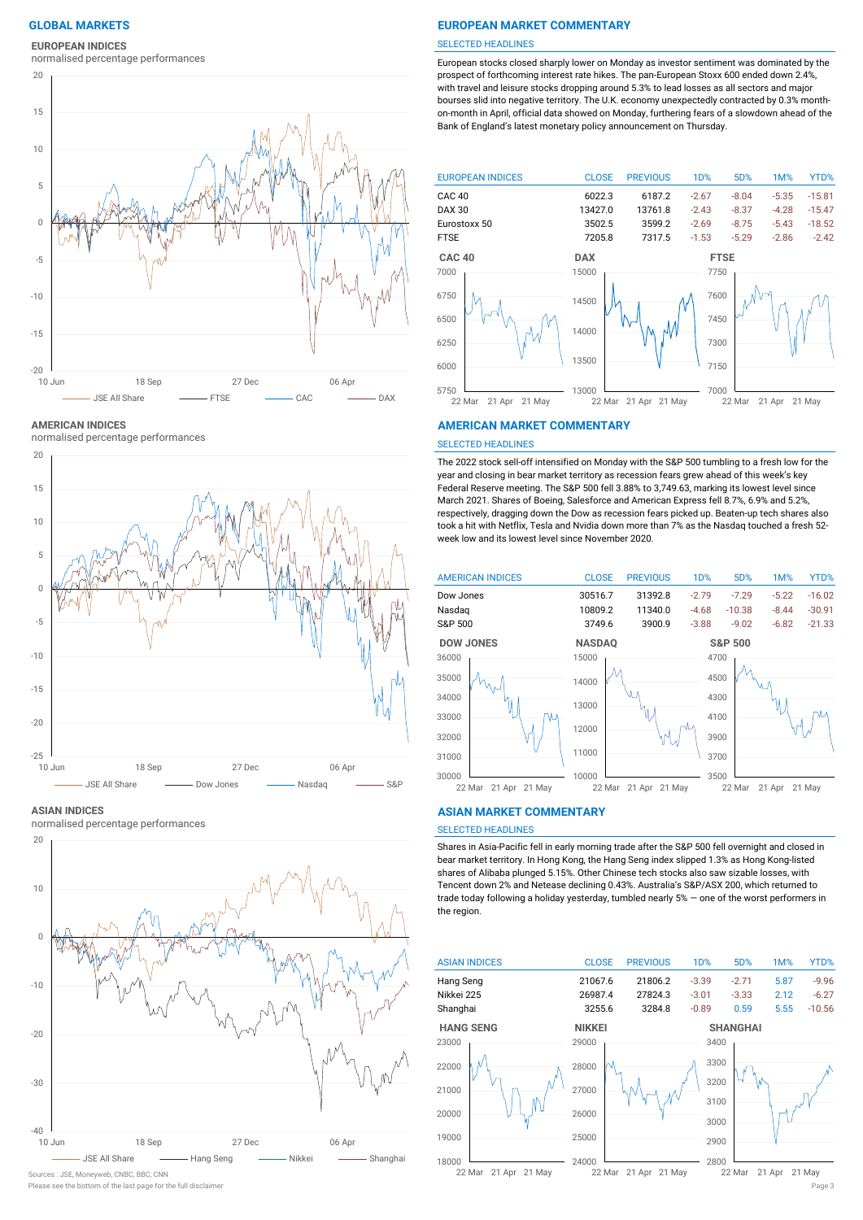**EUROPEAN INDICES**

normalised percentage performances



**AMERICAN INDICES**

normalised percentage performances



### **ASIAN INDICES**

normalised percentage performances



# Sources : JSE, Moneyweb, CNBC, BBC, CNN

# **GLOBAL MARKETS EUROPEAN MARKET COMMENTARY**

### SELECTED HEADLINES

European stocks closed sharply lower on Monday as investor sentiment was dominated by the prospect of forthcoming interest rate hikes. The pan-European Stoxx 600 ended down 2.4%, with travel and leisure stocks dropping around 5.3% to lead losses as all sectors and major bourses slid into negative territory. The U.K. economy unexpectedly contracted by 0.3% monthon-month in April, official data showed on Monday, furthering fears of a slowdown ahead of the Bank of England's latest monetary policy announcement on Thursday.



### **AMERICAN MARKET COMMENTARY**

### SELECTED HEADLINES

The 2022 stock sell-off intensified on Monday with the S&P 500 tumbling to a fresh low for the year and closing in bear market territory as recession fears grew ahead of this week's key Federal Reserve meeting. The S&P 500 fell 3.88% to 3,749.63, marking its lowest level since March 2021. Shares of Boeing, Salesforce and American Express fell 8.7%, 6.9% and 5.2%, respectively, dragging down the Dow as recession fears picked up. Beaten-up tech shares also took a hit with Netflix, Tesla and Nvidia down more than 7% as the Nasdaq touched a fresh 52 week low and its lowest level since November 2020.



### **ASIAN MARKET COMMENTARY**

# SELECTED HEADLINES

Shares in Asia-Pacific fell in early morning trade after the S&P 500 fell overnight and closed in bear market territory. In Hong Kong, the Hang Seng index slipped 1.3% as Hong Kong-listed shares of Alibaba plunged 5.15%. Other Chinese tech stocks also saw sizable losses, with Tencent down 2% and Netease declining 0.43%. Australia's S&P/ASX 200, which returned to trade today following a holiday yesterday, tumbled nearly 5% — one of the worst performers in the region.

| <b>ASIAN INDICES</b>    | <b>CLOSE</b>  | <b>PREVIOUS</b>  | 1 <sub>D</sub> % | 5D%             | 1M%    | YTD%     |
|-------------------------|---------------|------------------|------------------|-----------------|--------|----------|
| Hang Seng               | 21067.6       | 21806.2          | $-3.39$          | $-2.71$         | 5.87   | $-9.96$  |
| Nikkei 225              | 26987.4       | 27824.3          | $-3.01$          | $-3.33$         | 2.12   | $-6.27$  |
| Shanghai                | 3255.6        | 3284.8           | $-0.89$          | 0.59            | 5.55   | $-10.56$ |
| <b>HANG SENG</b>        | <b>NIKKEI</b> |                  |                  | <b>SHANGHAI</b> |        |          |
| 23000                   | 29000         |                  | 3400             |                 |        |          |
| 22000                   | 28000         |                  | 3300             |                 |        |          |
| 21000                   | 27000         |                  | 3200             |                 |        |          |
|                         |               |                  | 3100             |                 |        |          |
| 20000                   | 26000         |                  | 3000             |                 |        |          |
| 19000                   | 25000         |                  | 2900             |                 |        |          |
|                         |               |                  |                  |                 |        |          |
| 18000                   | 24000         |                  | 2800             |                 |        |          |
| 21 Apr 21 May<br>22 Mar | 22 Mar        | 21 Apr<br>21 May |                  | 22 Mar          | 21 Apr | 21 May   |

Please see the bottom of the last page for the full disclaimer Page 3